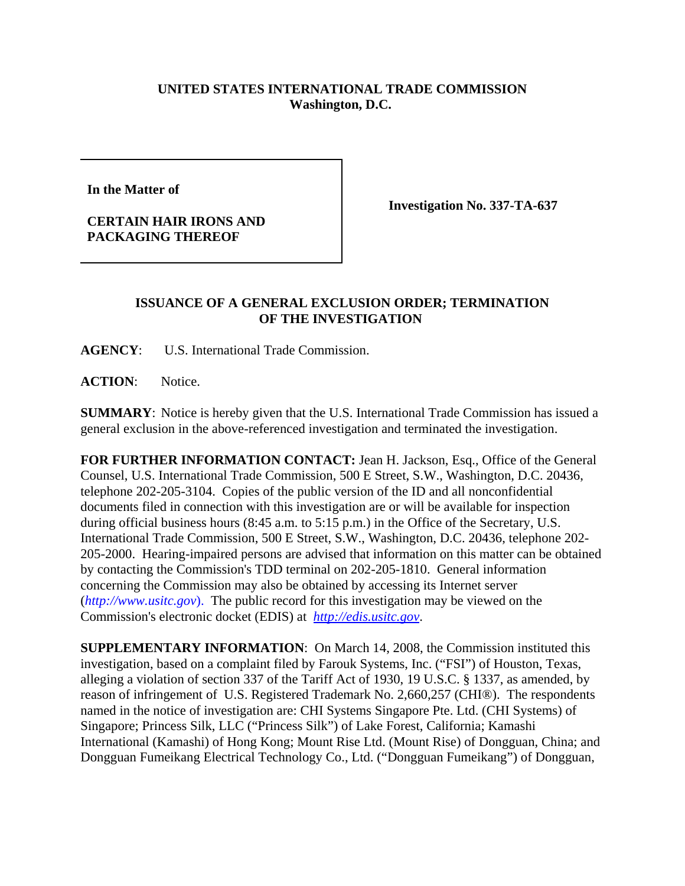## **UNITED STATES INTERNATIONAL TRADE COMMISSION Washington, D.C.**

**In the Matter of** 

**CERTAIN HAIR IRONS AND PACKAGING THEREOF**

**Investigation No. 337-TA-637**

## **ISSUANCE OF A GENERAL EXCLUSION ORDER; TERMINATION OF THE INVESTIGATION**

**AGENCY**: U.S. International Trade Commission.

**ACTION**: Notice.

**SUMMARY**: Notice is hereby given that the U.S. International Trade Commission has issued a general exclusion in the above-referenced investigation and terminated the investigation.

**FOR FURTHER INFORMATION CONTACT:** Jean H. Jackson, Esq., Office of the General Counsel, U.S. International Trade Commission, 500 E Street, S.W., Washington, D.C. 20436, telephone 202-205-3104. Copies of the public version of the ID and all nonconfidential documents filed in connection with this investigation are or will be available for inspection during official business hours (8:45 a.m. to 5:15 p.m.) in the Office of the Secretary, U.S. International Trade Commission, 500 E Street, S.W., Washington, D.C. 20436, telephone 202- 205-2000. Hearing-impaired persons are advised that information on this matter can be obtained by contacting the Commission's TDD terminal on 202-205-1810. General information concerning the Commission may also be obtained by accessing its Internet server (*http://www.usitc.gov*). The public record for this investigation may be viewed on the Commission's electronic docket (EDIS) at *http://edis.usitc.gov*.

**SUPPLEMENTARY INFORMATION**: On March 14, 2008, the Commission instituted this investigation, based on a complaint filed by Farouk Systems, Inc. ("FSI") of Houston, Texas, alleging a violation of section 337 of the Tariff Act of 1930, 19 U.S.C. § 1337, as amended, by reason of infringement of U.S. Registered Trademark No. 2,660,257 (CHI®). The respondents named in the notice of investigation are: CHI Systems Singapore Pte. Ltd. (CHI Systems) of Singapore; Princess Silk, LLC ("Princess Silk") of Lake Forest, California; Kamashi International (Kamashi) of Hong Kong; Mount Rise Ltd. (Mount Rise) of Dongguan, China; and Dongguan Fumeikang Electrical Technology Co., Ltd. ("Dongguan Fumeikang") of Dongguan,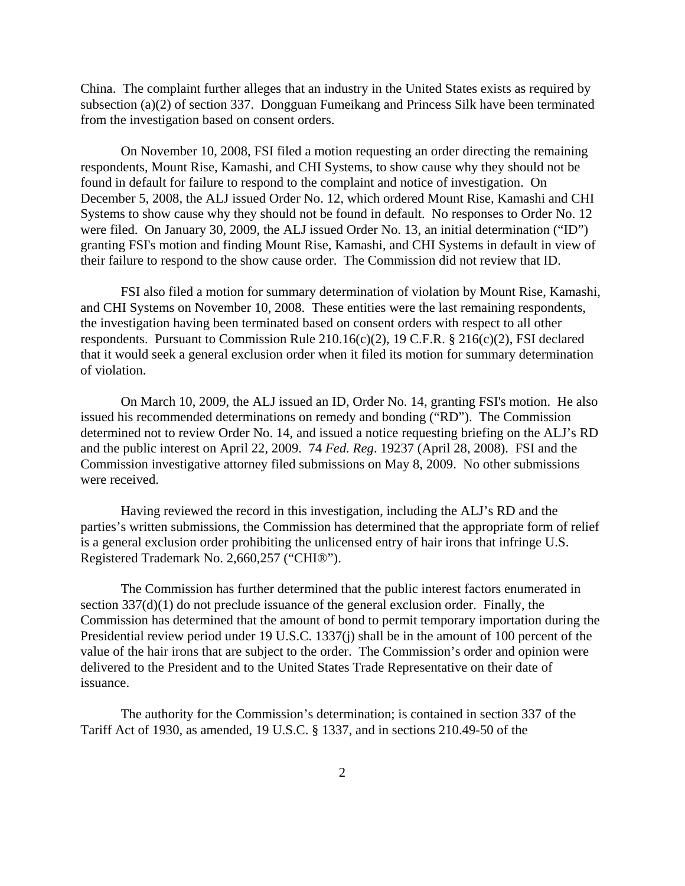China. The complaint further alleges that an industry in the United States exists as required by subsection (a)(2) of section 337. Dongguan Fumeikang and Princess Silk have been terminated from the investigation based on consent orders.

On November 10, 2008, FSI filed a motion requesting an order directing the remaining respondents, Mount Rise, Kamashi, and CHI Systems, to show cause why they should not be found in default for failure to respond to the complaint and notice of investigation. On December 5, 2008, the ALJ issued Order No. 12, which ordered Mount Rise, Kamashi and CHI Systems to show cause why they should not be found in default. No responses to Order No. 12 were filed. On January 30, 2009, the ALJ issued Order No. 13, an initial determination ("ID") granting FSI's motion and finding Mount Rise, Kamashi, and CHI Systems in default in view of their failure to respond to the show cause order. The Commission did not review that ID.

FSI also filed a motion for summary determination of violation by Mount Rise, Kamashi, and CHI Systems on November 10, 2008. These entities were the last remaining respondents, the investigation having been terminated based on consent orders with respect to all other respondents. Pursuant to Commission Rule 210.16(c)(2), 19 C.F.R. § 216(c)(2), FSI declared that it would seek a general exclusion order when it filed its motion for summary determination of violation.

On March 10, 2009, the ALJ issued an ID, Order No. 14, granting FSI's motion. He also issued his recommended determinations on remedy and bonding ("RD"). The Commission determined not to review Order No. 14, and issued a notice requesting briefing on the ALJ's RD and the public interest on April 22, 2009. 74 *Fed. Reg*. 19237 (April 28, 2008). FSI and the Commission investigative attorney filed submissions on May 8, 2009. No other submissions were received.

Having reviewed the record in this investigation, including the ALJ's RD and the parties's written submissions, the Commission has determined that the appropriate form of relief is a general exclusion order prohibiting the unlicensed entry of hair irons that infringe U.S. Registered Trademark No. 2,660,257 ("CHI®").

The Commission has further determined that the public interest factors enumerated in section 337(d)(1) do not preclude issuance of the general exclusion order. Finally, the Commission has determined that the amount of bond to permit temporary importation during the Presidential review period under 19 U.S.C. 1337(j) shall be in the amount of 100 percent of the value of the hair irons that are subject to the order. The Commission's order and opinion were delivered to the President and to the United States Trade Representative on their date of issuance.

The authority for the Commission's determination; is contained in section 337 of the Tariff Act of 1930, as amended, 19 U.S.C. § 1337, and in sections 210.49-50 of the